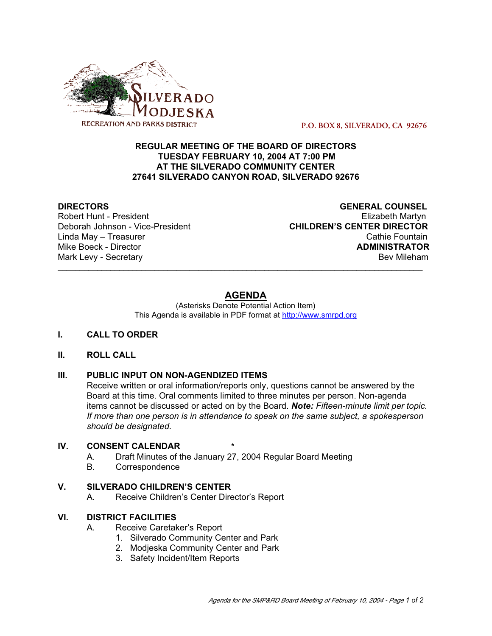

 **P.O. BOX 8, SILVERADO, CA 92676**

## **REGULAR MEETING OF THE BOARD OF DIRECTORS TUESDAY FEBRUARY 10, 2004 AT 7:00 PM AT THE SILVERADO COMMUNITY CENTER 27641 SILVERADO CANYON ROAD, SILVERADO 92676**

Robert Hunt - President

**DIRECTORS**<br>
Robert Hunt - President<br>
Robert Hunt - President Deborah Johnson - Vice-President **CHILDREN'S CENTER DIRECTOR** Linda May – Treasurer Cathie Fountain Mike Boeck - Director **ADMINISTRATOR** Mark Levy - Secretary **Bev Mileham** Bev Mileham **Bev Mileham** 

# **AGENDA**

\_\_\_\_\_\_\_\_\_\_\_\_\_\_\_\_\_\_\_\_\_\_\_\_\_\_\_\_\_\_\_\_\_\_\_\_\_\_\_\_\_\_\_\_\_\_\_\_\_\_\_\_\_\_\_\_\_\_\_\_\_\_\_\_\_\_\_\_\_\_\_\_\_\_\_\_\_\_\_\_\_\_\_

(Asterisks Denote Potential Action Item) This Agenda is available in PDF format at http://www.smrpd.org

#### **I. CALL TO ORDER**

#### **II. ROLL CALL**

## **III. PUBLIC INPUT ON NON-AGENDIZED ITEMS**

Receive written or oral information/reports only, questions cannot be answered by the Board at this time. Oral comments limited to three minutes per person. Non-agenda items cannot be discussed or acted on by the Board. *Note: Fifteen-minute limit per topic. If more than one person is in attendance to speak on the same subject, a spokesperson should be designated.*

## **IV. CONSENT CALENDAR \***

- A. Draft Minutes of the January 27, 2004 Regular Board Meeting
- B. Correspondence

#### **V. SILVERADO CHILDREN'S CENTER**

A. Receive Children's Center Director's Report

#### **VI. DISTRICT FACILITIES**

- A. Receive Caretaker's Report
	- 1. Silverado Community Center and Park
	- 2. Modjeska Community Center and Park
	- 3. Safety Incident/Item Reports